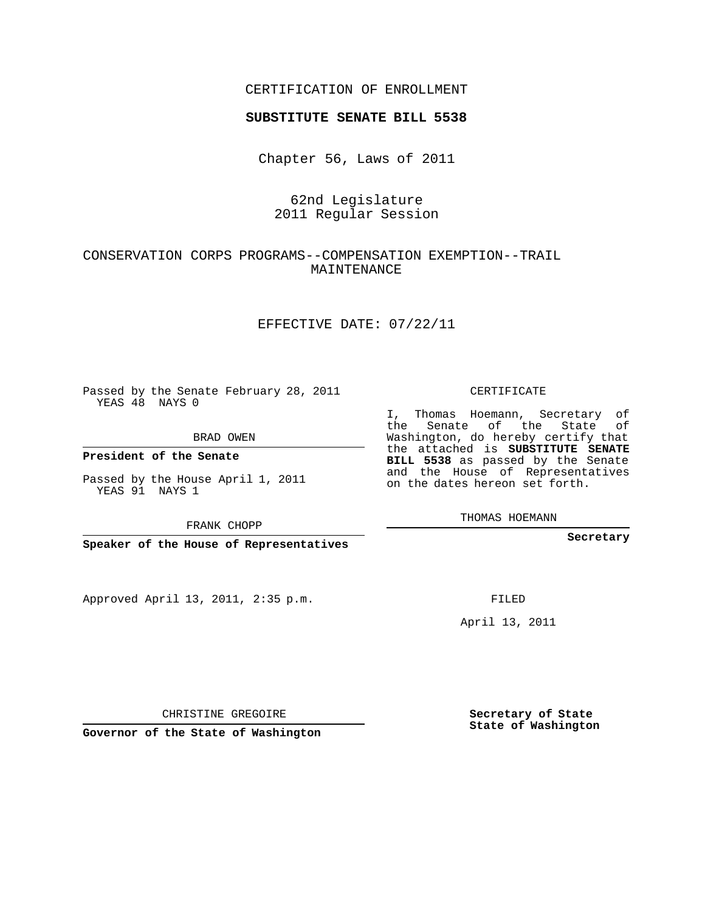## CERTIFICATION OF ENROLLMENT

### **SUBSTITUTE SENATE BILL 5538**

Chapter 56, Laws of 2011

# 62nd Legislature 2011 Regular Session

## CONSERVATION CORPS PROGRAMS--COMPENSATION EXEMPTION--TRAIL MAINTENANCE

### EFFECTIVE DATE: 07/22/11

Passed by the Senate February 28, 2011 YEAS 48 NAYS 0

### BRAD OWEN

**President of the Senate**

Passed by the House April 1, 2011 YEAS 91 NAYS 1

FRANK CHOPP

**Speaker of the House of Representatives**

Approved April 13, 2011, 2:35 p.m.

CERTIFICATE

I, Thomas Hoemann, Secretary of the Senate of the State of Washington, do hereby certify that the attached is **SUBSTITUTE SENATE BILL 5538** as passed by the Senate and the House of Representatives on the dates hereon set forth.

THOMAS HOEMANN

**Secretary**

FILED

April 13, 2011

CHRISTINE GREGOIRE

**Governor of the State of Washington**

**Secretary of State State of Washington**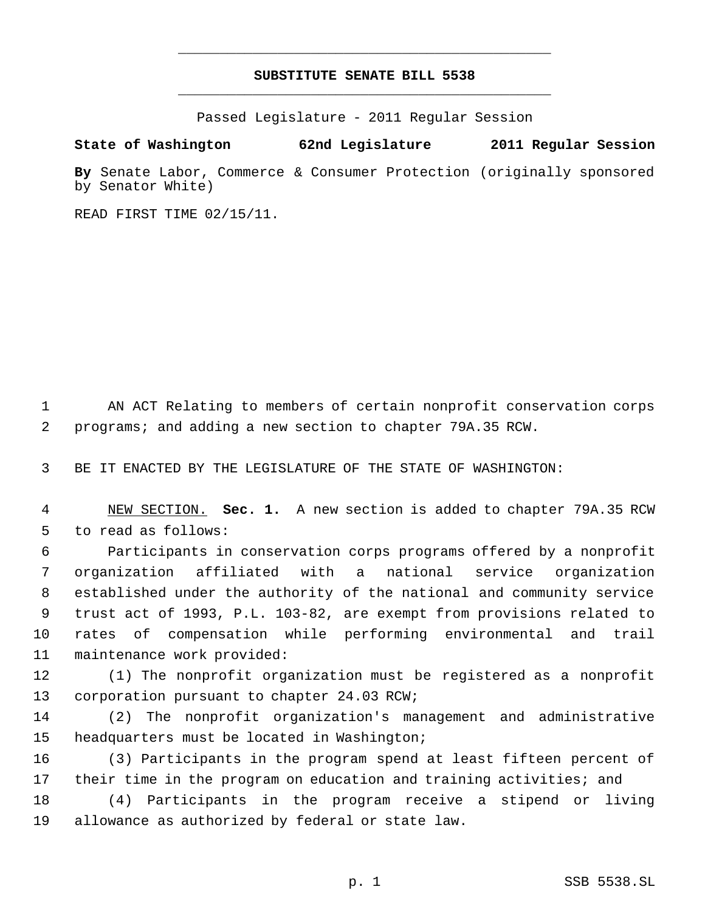# **SUBSTITUTE SENATE BILL 5538** \_\_\_\_\_\_\_\_\_\_\_\_\_\_\_\_\_\_\_\_\_\_\_\_\_\_\_\_\_\_\_\_\_\_\_\_\_\_\_\_\_\_\_\_\_

\_\_\_\_\_\_\_\_\_\_\_\_\_\_\_\_\_\_\_\_\_\_\_\_\_\_\_\_\_\_\_\_\_\_\_\_\_\_\_\_\_\_\_\_\_

Passed Legislature - 2011 Regular Session

## **State of Washington 62nd Legislature 2011 Regular Session**

**By** Senate Labor, Commerce & Consumer Protection (originally sponsored by Senator White)

READ FIRST TIME 02/15/11.

 AN ACT Relating to members of certain nonprofit conservation corps programs; and adding a new section to chapter 79A.35 RCW.

BE IT ENACTED BY THE LEGISLATURE OF THE STATE OF WASHINGTON:

 NEW SECTION. **Sec. 1.** A new section is added to chapter 79A.35 RCW to read as follows:

 Participants in conservation corps programs offered by a nonprofit organization affiliated with a national service organization established under the authority of the national and community service trust act of 1993, P.L. 103-82, are exempt from provisions related to rates of compensation while performing environmental and trail maintenance work provided:

 (1) The nonprofit organization must be registered as a nonprofit corporation pursuant to chapter 24.03 RCW;

 (2) The nonprofit organization's management and administrative headquarters must be located in Washington;

 (3) Participants in the program spend at least fifteen percent of their time in the program on education and training activities; and

 (4) Participants in the program receive a stipend or living allowance as authorized by federal or state law.